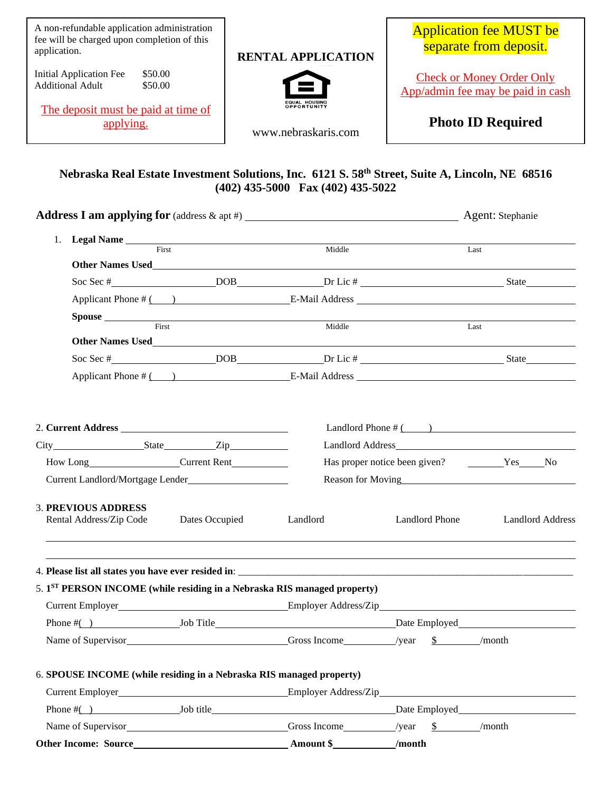| A non-refundable application administration<br>fee will be charged upon completion of this<br>application.<br>\$50.00<br><b>Initial Application Fee</b><br><b>Additional Adult</b><br>\$50.00<br>The deposit must be paid at time of<br><u>applying.</u> | <b>RENTAL APPLICATION</b>             | <b>Application fee MUST be</b><br>separate from deposit.<br><b>Check or Money Order Only</b><br>App/admin fee may be paid in cash<br><b>Photo ID Required</b> |
|----------------------------------------------------------------------------------------------------------------------------------------------------------------------------------------------------------------------------------------------------------|---------------------------------------|---------------------------------------------------------------------------------------------------------------------------------------------------------------|
|                                                                                                                                                                                                                                                          | www.nebraskaris.com                   |                                                                                                                                                               |
| Nebraska Real Estate Investment Solutions, Inc. 6121 S. 58 <sup>th</sup> Street, Suite A, Lincoln, NE 68516                                                                                                                                              | $(402)$ 435-5000 Fax $(402)$ 435-5022 |                                                                                                                                                               |
|                                                                                                                                                                                                                                                          | Middle                                | Last                                                                                                                                                          |
| Other Names Used <b>Executive Services</b> Contains a service of the service of the service of the service of the service of the service of the service of the service of the service of the service of the service of the service                       |                                       |                                                                                                                                                               |
|                                                                                                                                                                                                                                                          |                                       | Soc Sec # DOB DOB DELIC # State State State State State DOB                                                                                                   |
|                                                                                                                                                                                                                                                          |                                       |                                                                                                                                                               |
| Spouse <b>Spouse Spouse Spouse Spouse Spouse Spouse Spouse Spouse Spouse Spouse Spouse Spouse Spouse Spouse Spouse Spouse Spouse Spouse Spouse Spouse Spouse Spouse Spouse Spouse</b><br>First                                                           | Middle                                |                                                                                                                                                               |
| Other Names Used Names Contains a state of the Second Second Second Second Second Second Second Second Second Second Second Second Second Second Second Second Second Second Second Second Second Second Second Second Second                            |                                       | Last                                                                                                                                                          |
|                                                                                                                                                                                                                                                          |                                       |                                                                                                                                                               |
|                                                                                                                                                                                                                                                          |                                       |                                                                                                                                                               |
| How Long Current Rent<br>Current Landlord/Mortgage Lender                                                                                                                                                                                                |                                       | Landlord Phone $\#$ ( )<br>Has proper notice been given? Ves No<br>Reason for Moving<br><u>Reason</u> for Moving<br><u>Reason</u>                             |
| <b>3. PREVIOUS ADDRESS</b><br>Rental Address/Zip Code<br>Dates Occupied                                                                                                                                                                                  | Landlord                              | Landlord Phone Landlord Address                                                                                                                               |
| 5. 1 <sup>ST</sup> PERSON INCOME (while residing in a Nebraska RIS managed property)                                                                                                                                                                     |                                       | <u> 1989 - Andrea Santa Andrea Andrea Andrea Andrea Andrea Andrea Andrea Andrea Andrea Andrea Andrea Andrea Andr</u>                                          |
|                                                                                                                                                                                                                                                          |                                       |                                                                                                                                                               |
|                                                                                                                                                                                                                                                          |                                       |                                                                                                                                                               |
| Name of Supervisor Gross Income /year \$ /month                                                                                                                                                                                                          |                                       |                                                                                                                                                               |

6. **SPOUSE INCOME (while residing in a Nebraska RIS managed property)**

| <b>Other Income: Source</b> |           | Amount \$            | /month          |
|-----------------------------|-----------|----------------------|-----------------|
| Name of Supervisor          |           | Gross Income         | /month<br>/vear |
| Phone $#$ (                 | Job title |                      | Date Employed   |
| <b>Current Employer</b>     |           | Employer Address/Zip |                 |
|                             |           |                      |                 |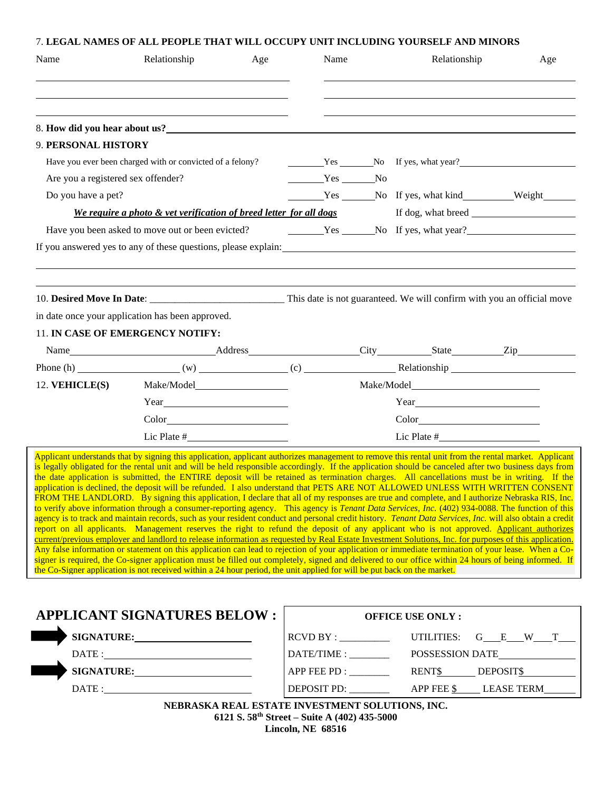| Name                               | Relationship                                                                                                                                                                                                                                                                                                                                                                                                                                                                                                                                                                                                                                                                                                                                                                                                                                                                                                                                                                                                                                                                                                                                                                                                                                                                                                                                                                                                                                                                                                                                                                                                                                                                               | Age | Name                                                                                                                                                                                                                                                                                                              |  | Relationship                                                                                                                                                                                                                                                                                                                                                                                                                                                                                                                                                                                                   | Age                                                                                                                                                                                                                            |  |
|------------------------------------|--------------------------------------------------------------------------------------------------------------------------------------------------------------------------------------------------------------------------------------------------------------------------------------------------------------------------------------------------------------------------------------------------------------------------------------------------------------------------------------------------------------------------------------------------------------------------------------------------------------------------------------------------------------------------------------------------------------------------------------------------------------------------------------------------------------------------------------------------------------------------------------------------------------------------------------------------------------------------------------------------------------------------------------------------------------------------------------------------------------------------------------------------------------------------------------------------------------------------------------------------------------------------------------------------------------------------------------------------------------------------------------------------------------------------------------------------------------------------------------------------------------------------------------------------------------------------------------------------------------------------------------------------------------------------------------------|-----|-------------------------------------------------------------------------------------------------------------------------------------------------------------------------------------------------------------------------------------------------------------------------------------------------------------------|--|----------------------------------------------------------------------------------------------------------------------------------------------------------------------------------------------------------------------------------------------------------------------------------------------------------------------------------------------------------------------------------------------------------------------------------------------------------------------------------------------------------------------------------------------------------------------------------------------------------------|--------------------------------------------------------------------------------------------------------------------------------------------------------------------------------------------------------------------------------|--|
|                                    |                                                                                                                                                                                                                                                                                                                                                                                                                                                                                                                                                                                                                                                                                                                                                                                                                                                                                                                                                                                                                                                                                                                                                                                                                                                                                                                                                                                                                                                                                                                                                                                                                                                                                            |     |                                                                                                                                                                                                                                                                                                                   |  |                                                                                                                                                                                                                                                                                                                                                                                                                                                                                                                                                                                                                |                                                                                                                                                                                                                                |  |
|                                    |                                                                                                                                                                                                                                                                                                                                                                                                                                                                                                                                                                                                                                                                                                                                                                                                                                                                                                                                                                                                                                                                                                                                                                                                                                                                                                                                                                                                                                                                                                                                                                                                                                                                                            |     |                                                                                                                                                                                                                                                                                                                   |  |                                                                                                                                                                                                                                                                                                                                                                                                                                                                                                                                                                                                                |                                                                                                                                                                                                                                |  |
|                                    | 8. How did you hear about us?                                                                                                                                                                                                                                                                                                                                                                                                                                                                                                                                                                                                                                                                                                                                                                                                                                                                                                                                                                                                                                                                                                                                                                                                                                                                                                                                                                                                                                                                                                                                                                                                                                                              |     |                                                                                                                                                                                                                                                                                                                   |  |                                                                                                                                                                                                                                                                                                                                                                                                                                                                                                                                                                                                                |                                                                                                                                                                                                                                |  |
| 9. PERSONAL HISTORY                |                                                                                                                                                                                                                                                                                                                                                                                                                                                                                                                                                                                                                                                                                                                                                                                                                                                                                                                                                                                                                                                                                                                                                                                                                                                                                                                                                                                                                                                                                                                                                                                                                                                                                            |     |                                                                                                                                                                                                                                                                                                                   |  |                                                                                                                                                                                                                                                                                                                                                                                                                                                                                                                                                                                                                |                                                                                                                                                                                                                                |  |
|                                    | Have you ever been charged with or convicted of a felony?                                                                                                                                                                                                                                                                                                                                                                                                                                                                                                                                                                                                                                                                                                                                                                                                                                                                                                                                                                                                                                                                                                                                                                                                                                                                                                                                                                                                                                                                                                                                                                                                                                  |     |                                                                                                                                                                                                                                                                                                                   |  |                                                                                                                                                                                                                                                                                                                                                                                                                                                                                                                                                                                                                | Yes No If yes, what year?                                                                                                                                                                                                      |  |
| Are you a registered sex offender? |                                                                                                                                                                                                                                                                                                                                                                                                                                                                                                                                                                                                                                                                                                                                                                                                                                                                                                                                                                                                                                                                                                                                                                                                                                                                                                                                                                                                                                                                                                                                                                                                                                                                                            |     | $Yes$ No                                                                                                                                                                                                                                                                                                          |  |                                                                                                                                                                                                                                                                                                                                                                                                                                                                                                                                                                                                                |                                                                                                                                                                                                                                |  |
| Do you have a pet?                 |                                                                                                                                                                                                                                                                                                                                                                                                                                                                                                                                                                                                                                                                                                                                                                                                                                                                                                                                                                                                                                                                                                                                                                                                                                                                                                                                                                                                                                                                                                                                                                                                                                                                                            |     |                                                                                                                                                                                                                                                                                                                   |  |                                                                                                                                                                                                                                                                                                                                                                                                                                                                                                                                                                                                                | Ves No If yes, what kind Weight Lesson No If yes, what kind Lesson No If yes, what kind Lesson Lesson Lesson No If yes, what kind Lesson Lesson Lesson Lesson Monte and Lesson Meight Lesson Monte and Lesson Meight Lesson Mo |  |
|                                    | We require a photo & vet verification of breed letter for all dogs                                                                                                                                                                                                                                                                                                                                                                                                                                                                                                                                                                                                                                                                                                                                                                                                                                                                                                                                                                                                                                                                                                                                                                                                                                                                                                                                                                                                                                                                                                                                                                                                                         |     |                                                                                                                                                                                                                                                                                                                   |  |                                                                                                                                                                                                                                                                                                                                                                                                                                                                                                                                                                                                                |                                                                                                                                                                                                                                |  |
|                                    | Have you been asked to move out or been evicted?                                                                                                                                                                                                                                                                                                                                                                                                                                                                                                                                                                                                                                                                                                                                                                                                                                                                                                                                                                                                                                                                                                                                                                                                                                                                                                                                                                                                                                                                                                                                                                                                                                           |     |                                                                                                                                                                                                                                                                                                                   |  |                                                                                                                                                                                                                                                                                                                                                                                                                                                                                                                                                                                                                | Yes No If yes, what year?                                                                                                                                                                                                      |  |
|                                    | If you answered yes to any of these questions, please explain:                                                                                                                                                                                                                                                                                                                                                                                                                                                                                                                                                                                                                                                                                                                                                                                                                                                                                                                                                                                                                                                                                                                                                                                                                                                                                                                                                                                                                                                                                                                                                                                                                             |     |                                                                                                                                                                                                                                                                                                                   |  |                                                                                                                                                                                                                                                                                                                                                                                                                                                                                                                                                                                                                |                                                                                                                                                                                                                                |  |
|                                    |                                                                                                                                                                                                                                                                                                                                                                                                                                                                                                                                                                                                                                                                                                                                                                                                                                                                                                                                                                                                                                                                                                                                                                                                                                                                                                                                                                                                                                                                                                                                                                                                                                                                                            |     |                                                                                                                                                                                                                                                                                                                   |  |                                                                                                                                                                                                                                                                                                                                                                                                                                                                                                                                                                                                                |                                                                                                                                                                                                                                |  |
|                                    | in date once your application has been approved.                                                                                                                                                                                                                                                                                                                                                                                                                                                                                                                                                                                                                                                                                                                                                                                                                                                                                                                                                                                                                                                                                                                                                                                                                                                                                                                                                                                                                                                                                                                                                                                                                                           |     |                                                                                                                                                                                                                                                                                                                   |  |                                                                                                                                                                                                                                                                                                                                                                                                                                                                                                                                                                                                                |                                                                                                                                                                                                                                |  |
|                                    | 11. IN CASE OF EMERGENCY NOTIFY:                                                                                                                                                                                                                                                                                                                                                                                                                                                                                                                                                                                                                                                                                                                                                                                                                                                                                                                                                                                                                                                                                                                                                                                                                                                                                                                                                                                                                                                                                                                                                                                                                                                           |     |                                                                                                                                                                                                                                                                                                                   |  |                                                                                                                                                                                                                                                                                                                                                                                                                                                                                                                                                                                                                |                                                                                                                                                                                                                                |  |
|                                    |                                                                                                                                                                                                                                                                                                                                                                                                                                                                                                                                                                                                                                                                                                                                                                                                                                                                                                                                                                                                                                                                                                                                                                                                                                                                                                                                                                                                                                                                                                                                                                                                                                                                                            |     |                                                                                                                                                                                                                                                                                                                   |  |                                                                                                                                                                                                                                                                                                                                                                                                                                                                                                                                                                                                                |                                                                                                                                                                                                                                |  |
|                                    |                                                                                                                                                                                                                                                                                                                                                                                                                                                                                                                                                                                                                                                                                                                                                                                                                                                                                                                                                                                                                                                                                                                                                                                                                                                                                                                                                                                                                                                                                                                                                                                                                                                                                            |     |                                                                                                                                                                                                                                                                                                                   |  |                                                                                                                                                                                                                                                                                                                                                                                                                                                                                                                                                                                                                |                                                                                                                                                                                                                                |  |
| 12. VEHICLE(S)                     |                                                                                                                                                                                                                                                                                                                                                                                                                                                                                                                                                                                                                                                                                                                                                                                                                                                                                                                                                                                                                                                                                                                                                                                                                                                                                                                                                                                                                                                                                                                                                                                                                                                                                            |     |                                                                                                                                                                                                                                                                                                                   |  |                                                                                                                                                                                                                                                                                                                                                                                                                                                                                                                                                                                                                |                                                                                                                                                                                                                                |  |
|                                    | $Year$ and $Year$ and $Year$ and $Year$ and $Year$ and $Year$ and $Year$ and $Year$ and $Year$ and $Year$ and $Year$ and $Year$ and $Year$ and $Year$ and $Year$ and $Year$ and $Year$ and $Year$ and $Year$ and $Year$ and $Year$ and $Year$ and $Year$ and $Year$ and $Year$ and $Year$ and $Year$ and $Year$ a                                                                                                                                                                                                                                                                                                                                                                                                                                                                                                                                                                                                                                                                                                                                                                                                                                                                                                                                                                                                                                                                                                                                                                                                                                                                                                                                                                          |     | $Year$ and $Year$ and $Year$ and $Year$ and $Year$ and $Year$ and $Year$ and $Year$ and $Year$ and $Year$ and $Year$ and $Year$ and $Year$ and $Year$ and $Year$ and $Year$ and $Year$ and $Year$ and $Year$ and $Year$ and $Year$ and $Year$ and $Year$ and $Year$ and $Year$ and $Year$ and $Year$ and $Year$ a |  |                                                                                                                                                                                                                                                                                                                                                                                                                                                                                                                                                                                                                |                                                                                                                                                                                                                                |  |
|                                    | $\text{Color}\_$                                                                                                                                                                                                                                                                                                                                                                                                                                                                                                                                                                                                                                                                                                                                                                                                                                                                                                                                                                                                                                                                                                                                                                                                                                                                                                                                                                                                                                                                                                                                                                                                                                                                           |     |                                                                                                                                                                                                                                                                                                                   |  | $\text{Color}\underline{\hspace{2cm}}\underline{\hspace{2cm}}\underline{\hspace{2cm}}\underline{\hspace{2cm}}\underline{\hspace{2cm}}\underline{\hspace{2cm}}\underline{\hspace{2cm}}\underline{\hspace{2cm}}\underline{\hspace{2cm}}\underline{\hspace{2cm}}\underline{\hspace{2cm}}\underline{\hspace{2cm}}\underline{\hspace{2cm}}\underline{\hspace{2cm}}\underline{\hspace{2cm}}\underline{\hspace{2cm}}\underline{\hspace{2cm}}\underline{\hspace{2cm}}\underline{\hspace{2cm}}\underline{\hspace{2cm}}\underline{\hspace{2cm}}\underline{\hspace{2cm}}\underline{\hspace{2cm}}\underline{\hspace{2cm}}$ |                                                                                                                                                                                                                                |  |
|                                    |                                                                                                                                                                                                                                                                                                                                                                                                                                                                                                                                                                                                                                                                                                                                                                                                                                                                                                                                                                                                                                                                                                                                                                                                                                                                                                                                                                                                                                                                                                                                                                                                                                                                                            |     |                                                                                                                                                                                                                                                                                                                   |  |                                                                                                                                                                                                                                                                                                                                                                                                                                                                                                                                                                                                                |                                                                                                                                                                                                                                |  |
|                                    |                                                                                                                                                                                                                                                                                                                                                                                                                                                                                                                                                                                                                                                                                                                                                                                                                                                                                                                                                                                                                                                                                                                                                                                                                                                                                                                                                                                                                                                                                                                                                                                                                                                                                            |     |                                                                                                                                                                                                                                                                                                                   |  |                                                                                                                                                                                                                                                                                                                                                                                                                                                                                                                                                                                                                |                                                                                                                                                                                                                                |  |
|                                    | Applicant understands that by signing this application, applicant authorizes management to remove this rental unit from the rental market. Applicant<br>is legally obligated for the rental unit and will be held responsible accordingly. If the application should be canceled after two business days from<br>the date application is submitted, the ENTIRE deposit will be retained as termination charges. All cancellations must be in writing. If the<br>application is declined, the deposit will be refunded. I also understand that PETS ARE NOT ALLOWED UNLESS WITH WRITTEN CONSENT<br>FROM THE LANDLORD. By signing this application, I declare that all of my responses are true and complete, and I authorize Nebraska RIS, Inc.<br>to verify above information through a consumer-reporting agency. This agency is <i>Tenant Data Services, Inc.</i> (402) 934-0088. The function of this<br>agency is to track and maintain records, such as your resident conduct and personal credit history. Tenant Data Services, Inc. will also obtain a credit<br>report on all applicants. Management reserves the right to refund the deposit of any applicant who is not approved. Applicant authorizes<br>current/previous employer and landlord to release information as requested by Real Estate Investment Solutions, Inc. for purposes of this application.<br>Any false information or statement on this application can lead to rejection of your application or immediate termination of your lease. When a Co-<br>signer is required, the Co-signer application must be filled out completely, signed and delivered to our office within 24 hours of being informed. If |     |                                                                                                                                                                                                                                                                                                                   |  |                                                                                                                                                                                                                                                                                                                                                                                                                                                                                                                                                                                                                |                                                                                                                                                                                                                                |  |
|                                    | the Co-Signer application is not received within a 24 hour period, the unit applied for will be put back on the market.<br><b>APPLICANT SIGNATURES BELOW:</b>                                                                                                                                                                                                                                                                                                                                                                                                                                                                                                                                                                                                                                                                                                                                                                                                                                                                                                                                                                                                                                                                                                                                                                                                                                                                                                                                                                                                                                                                                                                              |     |                                                                                                                                                                                                                                                                                                                   |  | <b>OFFICE USE ONLY:</b>                                                                                                                                                                                                                                                                                                                                                                                                                                                                                                                                                                                        |                                                                                                                                                                                                                                |  |
|                                    | SIGNATURE: New York SIGNATURE:                                                                                                                                                                                                                                                                                                                                                                                                                                                                                                                                                                                                                                                                                                                                                                                                                                                                                                                                                                                                                                                                                                                                                                                                                                                                                                                                                                                                                                                                                                                                                                                                                                                             |     | RCVD BY:                                                                                                                                                                                                                                                                                                          |  | UTILITIES:                                                                                                                                                                                                                                                                                                                                                                                                                                                                                                                                                                                                     | $G_E_W_T$                                                                                                                                                                                                                      |  |
|                                    | $\text{DATE:}\qquad \qquad \overbrace{\qquad \qquad }^{ \qquad \qquad }$                                                                                                                                                                                                                                                                                                                                                                                                                                                                                                                                                                                                                                                                                                                                                                                                                                                                                                                                                                                                                                                                                                                                                                                                                                                                                                                                                                                                                                                                                                                                                                                                                   |     | DATE/TIME:                                                                                                                                                                                                                                                                                                        |  |                                                                                                                                                                                                                                                                                                                                                                                                                                                                                                                                                                                                                | POSSESSION DATE                                                                                                                                                                                                                |  |
|                                    | SIGNATURE: New York SIGNATURE:                                                                                                                                                                                                                                                                                                                                                                                                                                                                                                                                                                                                                                                                                                                                                                                                                                                                                                                                                                                                                                                                                                                                                                                                                                                                                                                                                                                                                                                                                                                                                                                                                                                             |     | $APP$ FEE PD : $\_\_\_\_\_\_\_\_\_\_\_\_\_$                                                                                                                                                                                                                                                                       |  |                                                                                                                                                                                                                                                                                                                                                                                                                                                                                                                                                                                                                | RENT\$ DEPOSIT\$                                                                                                                                                                                                               |  |

**NEBRASKA REAL ESTATE INVESTMENT SOLUTIONS, INC. 6121 S. 58th Street – Suite A (402) 435-5000 Lincoln, NE 68516**